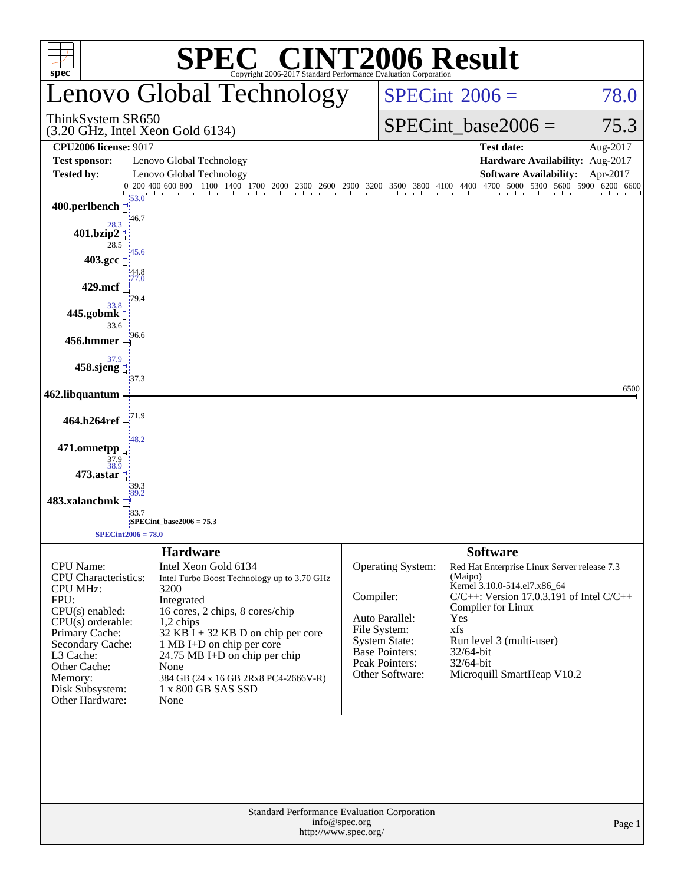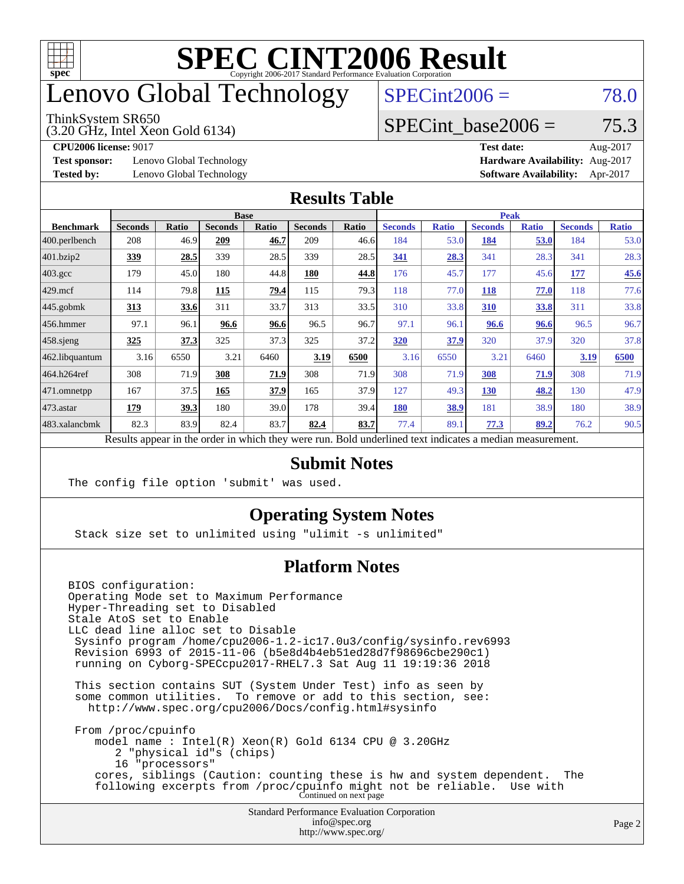

## enovo Global Technology

#### ThinkSystem SR650

(3.20 GHz, Intel Xeon Gold 6134)

 $SPECint2006 = 78.0$  $SPECint2006 = 78.0$ 

#### SPECint base2006 =  $75.3$

**[Test sponsor:](http://www.spec.org/auto/cpu2006/Docs/result-fields.html#Testsponsor)** Lenovo Global Technology **[Hardware Availability:](http://www.spec.org/auto/cpu2006/Docs/result-fields.html#HardwareAvailability)** Aug-2017

**[CPU2006 license:](http://www.spec.org/auto/cpu2006/Docs/result-fields.html#CPU2006license)** 9017 **[Test date:](http://www.spec.org/auto/cpu2006/Docs/result-fields.html#Testdate)** Aug-2017 **[Tested by:](http://www.spec.org/auto/cpu2006/Docs/result-fields.html#Testedby)** Lenovo Global Technology **[Software Availability:](http://www.spec.org/auto/cpu2006/Docs/result-fields.html#SoftwareAvailability)** Apr-2017

#### **[Results Table](http://www.spec.org/auto/cpu2006/Docs/result-fields.html#ResultsTable)**

|                                                                                                          | <b>Base</b>    |       |                |              |                | <b>Peak</b> |                |              |                |              |                |              |
|----------------------------------------------------------------------------------------------------------|----------------|-------|----------------|--------------|----------------|-------------|----------------|--------------|----------------|--------------|----------------|--------------|
| <b>Benchmark</b>                                                                                         | <b>Seconds</b> | Ratio | <b>Seconds</b> | <b>Ratio</b> | <b>Seconds</b> | Ratio       | <b>Seconds</b> | <b>Ratio</b> | <b>Seconds</b> | <b>Ratio</b> | <b>Seconds</b> | <b>Ratio</b> |
| 400.perlbench                                                                                            | 208            | 46.9  | 209            | 46.7         | 209            | 46.6        | 184            | 53.0         | 184            | 53.0         | 184            | 53.0         |
| 401.bzip2                                                                                                | <u>339</u>     | 28.5  | 339            | 28.5         | 339            | 28.5        | 341            | 28.3         | 341            | 28.3         | 341            | 28.3         |
| $403.\mathrm{gcc}$                                                                                       | 179            | 45.0  | 180            | 44.8         | 180            | 44.8        | 176            | 45.7         | 177            | 45.6         | 177            | 45.6         |
| $429$ .mcf                                                                                               | 114            | 79.8  | 115            | 79.4         | 115            | 79.3        | 118            | 77.0         | 118            | 77.0         | 118            | 77.6         |
| $445$ .gobmk                                                                                             | 313            | 33.6  | 311            | 33.7         | 313            | 33.5        | 310            | 33.8         | 310            | 33.8         | 311            | 33.8         |
| $456.$ hmmer                                                                                             | 97.1           | 96.1  | 96.6           | 96.6         | 96.5           | 96.7        | 97.1           | 96.1         | 96.6           | 96.6         | 96.5           | 96.7         |
| $458$ .sjeng                                                                                             | <u>325</u>     | 37.3  | 325            | 37.3         | 325            | 37.2        | 320            | 37.9         | 320            | 37.9         | 320            | 37.8         |
| 462.libquantum                                                                                           | 3.16           | 6550  | 3.21           | 6460         | 3.19           | 6500        | 3.16           | 6550         | 3.21           | 6460         | 3.19           | 6500         |
| 464.h264ref                                                                                              | 308            | 71.9  | 308            | 71.9         | 308            | 71.9        | 308            | 71.9         | 308            | 71.9         | 308            | 71.9         |
| $ 471$ .omnetpp                                                                                          | 167            | 37.5  | 165            | 37.9         | 165            | 37.9        | 127            | 49.3         | 130            | 48.2         | 130            | 47.9         |
| $473$ . astar                                                                                            | 179            | 39.3  | 180            | 39.0         | 178            | 39.4        | <b>180</b>     | 38.9         | 181            | 38.9         | 180            | 38.9         |
| 483.xalancbmk                                                                                            | 82.3           | 83.9  | 82.4           | 83.7         | 82.4           | 83.7        | 77.4           | 89.1         | 77.3           | 89.2         | 76.2           | 90.5         |
| Results appear in the order in which they were run. Bold underlined text indicates a median measurement. |                |       |                |              |                |             |                |              |                |              |                |              |

#### **[Submit Notes](http://www.spec.org/auto/cpu2006/Docs/result-fields.html#SubmitNotes)**

The config file option 'submit' was used.

#### **[Operating System Notes](http://www.spec.org/auto/cpu2006/Docs/result-fields.html#OperatingSystemNotes)**

Stack size set to unlimited using "ulimit -s unlimited"

#### **[Platform Notes](http://www.spec.org/auto/cpu2006/Docs/result-fields.html#PlatformNotes)**

Standard Performance Evaluation Corporation [info@spec.org](mailto:info@spec.org) BIOS configuration: Operating Mode set to Maximum Performance Hyper-Threading set to Disabled Stale AtoS set to Enable LLC dead line alloc set to Disable Sysinfo program /home/cpu2006-1.2-ic17.0u3/config/sysinfo.rev6993 Revision 6993 of 2015-11-06 (b5e8d4b4eb51ed28d7f98696cbe290c1) running on Cyborg-SPECcpu2017-RHEL7.3 Sat Aug 11 19:19:36 2018 This section contains SUT (System Under Test) info as seen by some common utilities. To remove or add to this section, see: <http://www.spec.org/cpu2006/Docs/config.html#sysinfo> From /proc/cpuinfo model name : Intel(R) Xeon(R) Gold 6134 CPU @ 3.20GHz 2 "physical id"s (chips) 16 "processors" cores, siblings (Caution: counting these is hw and system dependent. The following excerpts from /proc/cpuinfo might not be reliable. Use with Continued on next page

<http://www.spec.org/>

Page 2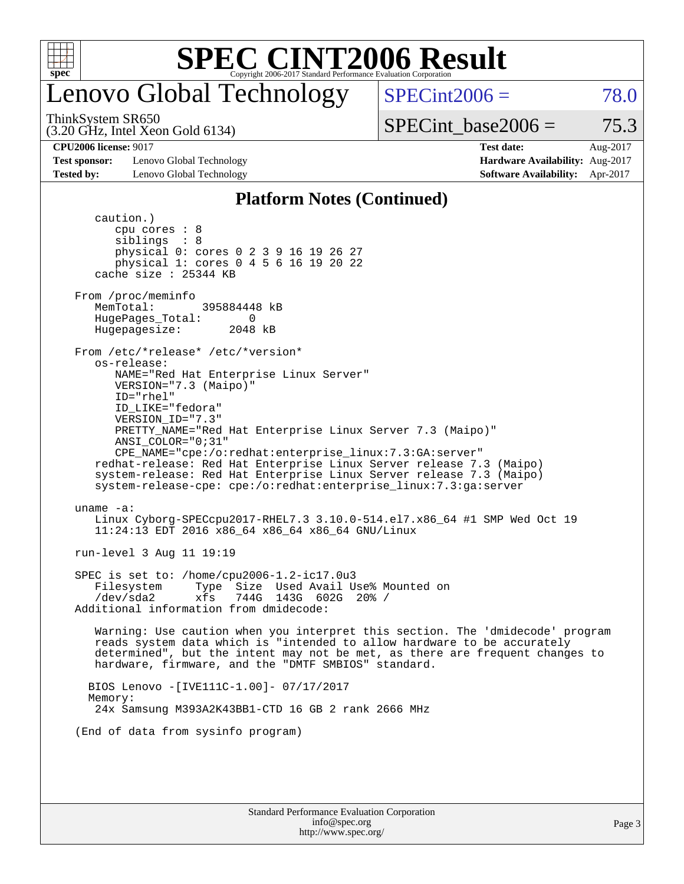

### enovo Global Technology

 $SPECint2006 = 78.0$  $SPECint2006 = 78.0$ 

ThinkSystem SR650

(3.20 GHz, Intel Xeon Gold 6134)

SPECint base2006 =  $75.3$ 

**[Test sponsor:](http://www.spec.org/auto/cpu2006/Docs/result-fields.html#Testsponsor)** Lenovo Global Technology **[Hardware Availability:](http://www.spec.org/auto/cpu2006/Docs/result-fields.html#HardwareAvailability)** Aug-2017 **[Tested by:](http://www.spec.org/auto/cpu2006/Docs/result-fields.html#Testedby)** Lenovo Global Technology **[Software Availability:](http://www.spec.org/auto/cpu2006/Docs/result-fields.html#SoftwareAvailability)** Apr-2017

**[CPU2006 license:](http://www.spec.org/auto/cpu2006/Docs/result-fields.html#CPU2006license)** 9017 **[Test date:](http://www.spec.org/auto/cpu2006/Docs/result-fields.html#Testdate)** Aug-2017

#### **[Platform Notes \(Continued\)](http://www.spec.org/auto/cpu2006/Docs/result-fields.html#PlatformNotes)**

Standard Performance Evaluation Corporation caution.) cpu cores : 8 siblings : 8 physical 0: cores 0 2 3 9 16 19 26 27 physical 1: cores 0 4 5 6 16 19 20 22 cache size : 25344 KB From /proc/meminfo MemTotal: 395884448 kB HugePages\_Total: 0<br>Hugepagesize: 2048 kB Hugepagesize: From /etc/\*release\* /etc/\*version\* os-release: NAME="Red Hat Enterprise Linux Server" VERSION="7.3 (Maipo)" ID="rhel" ID\_LIKE="fedora" VERSION\_ID="7.3" PRETTY\_NAME="Red Hat Enterprise Linux Server 7.3 (Maipo)" ANSI\_COLOR="0;31" CPE\_NAME="cpe:/o:redhat:enterprise\_linux:7.3:GA:server" redhat-release: Red Hat Enterprise Linux Server release 7.3 (Maipo) system-release: Red Hat Enterprise Linux Server release 7.3 (Maipo) system-release-cpe: cpe:/o:redhat:enterprise\_linux:7.3:ga:server uname -a: Linux Cyborg-SPECcpu2017-RHEL7.3 3.10.0-514.el7.x86\_64 #1 SMP Wed Oct 19 11:24:13 EDT 2016 x86\_64 x86\_64 x86\_64 GNU/Linux run-level 3 Aug 11 19:19 SPEC is set to: /home/cpu2006-1.2-ic17.0u3 Filesystem Type Size Used Avail Use% Mounted on /dev/sda2 xfs 744G 143G 602G 20% / Additional information from dmidecode: Warning: Use caution when you interpret this section. The 'dmidecode' program reads system data which is "intended to allow hardware to be accurately determined", but the intent may not be met, as there are frequent changes to hardware, firmware, and the "DMTF SMBIOS" standard. BIOS Lenovo -[IVE111C-1.00]- 07/17/2017 Memory: 24x Samsung M393A2K43BB1-CTD 16 GB 2 rank 2666 MHz (End of data from sysinfo program)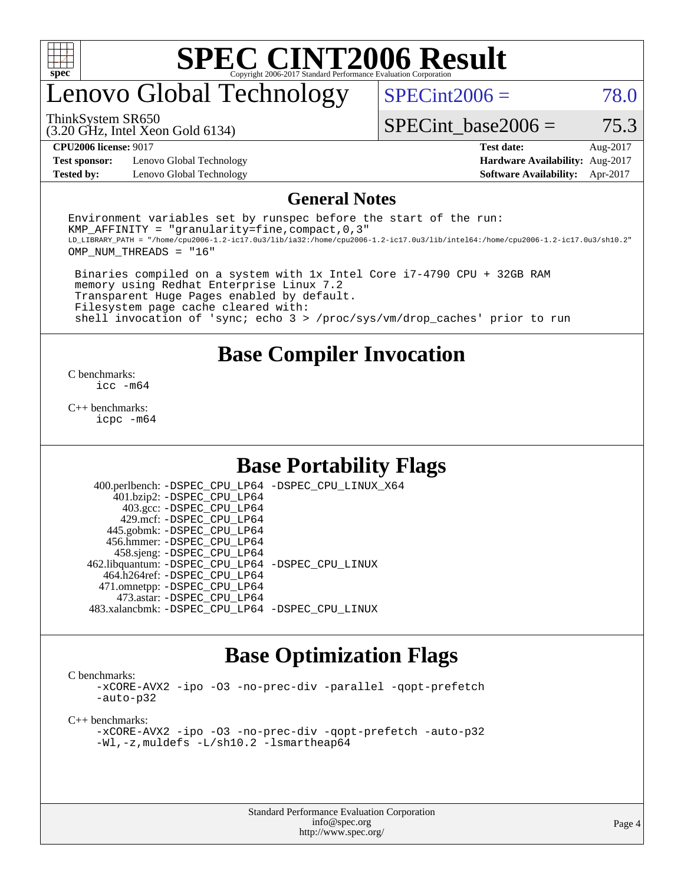

### enovo Global Technology

 $SPECint2006 = 78.0$  $SPECint2006 = 78.0$ 

ThinkSystem SR650

(3.20 GHz, Intel Xeon Gold 6134)

**[Test sponsor:](http://www.spec.org/auto/cpu2006/Docs/result-fields.html#Testsponsor)** Lenovo Global Technology **[Hardware Availability:](http://www.spec.org/auto/cpu2006/Docs/result-fields.html#HardwareAvailability)** Aug-2017

SPECint base2006 =  $75.3$ **[CPU2006 license:](http://www.spec.org/auto/cpu2006/Docs/result-fields.html#CPU2006license)** 9017 **[Test date:](http://www.spec.org/auto/cpu2006/Docs/result-fields.html#Testdate)** Aug-2017

**[Tested by:](http://www.spec.org/auto/cpu2006/Docs/result-fields.html#Testedby)** Lenovo Global Technology **[Software Availability:](http://www.spec.org/auto/cpu2006/Docs/result-fields.html#SoftwareAvailability)** Apr-2017

#### **[General Notes](http://www.spec.org/auto/cpu2006/Docs/result-fields.html#GeneralNotes)**

Environment variables set by runspec before the start of the run: KMP AFFINITY = "granularity=fine, compact,  $0,3$ " LD\_LIBRARY\_PATH = "/home/cpu2006-1.2-ic17.0u3/lib/ia32:/home/cpu2006-1.2-ic17.0u3/lib/intel64:/home/cpu2006-1.2-ic17.0u3/sh10.2" OMP\_NUM\_THREADS = "16"

 Binaries compiled on a system with 1x Intel Core i7-4790 CPU + 32GB RAM memory using Redhat Enterprise Linux 7.2 Transparent Huge Pages enabled by default. Filesystem page cache cleared with: shell invocation of 'sync; echo 3 > /proc/sys/vm/drop\_caches' prior to run

#### **[Base Compiler Invocation](http://www.spec.org/auto/cpu2006/Docs/result-fields.html#BaseCompilerInvocation)**

[C benchmarks](http://www.spec.org/auto/cpu2006/Docs/result-fields.html#Cbenchmarks): [icc -m64](http://www.spec.org/cpu2006/results/res2017q4/cpu2006-20170918-49733.flags.html#user_CCbase_intel_icc_64bit_bda6cc9af1fdbb0edc3795bac97ada53)

[C++ benchmarks:](http://www.spec.org/auto/cpu2006/Docs/result-fields.html#CXXbenchmarks) [icpc -m64](http://www.spec.org/cpu2006/results/res2017q4/cpu2006-20170918-49733.flags.html#user_CXXbase_intel_icpc_64bit_fc66a5337ce925472a5c54ad6a0de310)

### **[Base Portability Flags](http://www.spec.org/auto/cpu2006/Docs/result-fields.html#BasePortabilityFlags)**

 400.perlbench: [-DSPEC\\_CPU\\_LP64](http://www.spec.org/cpu2006/results/res2017q4/cpu2006-20170918-49733.flags.html#b400.perlbench_basePORTABILITY_DSPEC_CPU_LP64) [-DSPEC\\_CPU\\_LINUX\\_X64](http://www.spec.org/cpu2006/results/res2017q4/cpu2006-20170918-49733.flags.html#b400.perlbench_baseCPORTABILITY_DSPEC_CPU_LINUX_X64) 401.bzip2: [-DSPEC\\_CPU\\_LP64](http://www.spec.org/cpu2006/results/res2017q4/cpu2006-20170918-49733.flags.html#suite_basePORTABILITY401_bzip2_DSPEC_CPU_LP64) 403.gcc: [-DSPEC\\_CPU\\_LP64](http://www.spec.org/cpu2006/results/res2017q4/cpu2006-20170918-49733.flags.html#suite_basePORTABILITY403_gcc_DSPEC_CPU_LP64) 429.mcf: [-DSPEC\\_CPU\\_LP64](http://www.spec.org/cpu2006/results/res2017q4/cpu2006-20170918-49733.flags.html#suite_basePORTABILITY429_mcf_DSPEC_CPU_LP64) 445.gobmk: [-DSPEC\\_CPU\\_LP64](http://www.spec.org/cpu2006/results/res2017q4/cpu2006-20170918-49733.flags.html#suite_basePORTABILITY445_gobmk_DSPEC_CPU_LP64) 456.hmmer: [-DSPEC\\_CPU\\_LP64](http://www.spec.org/cpu2006/results/res2017q4/cpu2006-20170918-49733.flags.html#suite_basePORTABILITY456_hmmer_DSPEC_CPU_LP64) 458.sjeng: [-DSPEC\\_CPU\\_LP64](http://www.spec.org/cpu2006/results/res2017q4/cpu2006-20170918-49733.flags.html#suite_basePORTABILITY458_sjeng_DSPEC_CPU_LP64) 462.libquantum: [-DSPEC\\_CPU\\_LP64](http://www.spec.org/cpu2006/results/res2017q4/cpu2006-20170918-49733.flags.html#suite_basePORTABILITY462_libquantum_DSPEC_CPU_LP64) [-DSPEC\\_CPU\\_LINUX](http://www.spec.org/cpu2006/results/res2017q4/cpu2006-20170918-49733.flags.html#b462.libquantum_baseCPORTABILITY_DSPEC_CPU_LINUX) 464.h264ref: [-DSPEC\\_CPU\\_LP64](http://www.spec.org/cpu2006/results/res2017q4/cpu2006-20170918-49733.flags.html#suite_basePORTABILITY464_h264ref_DSPEC_CPU_LP64) 471.omnetpp: [-DSPEC\\_CPU\\_LP64](http://www.spec.org/cpu2006/results/res2017q4/cpu2006-20170918-49733.flags.html#suite_basePORTABILITY471_omnetpp_DSPEC_CPU_LP64) 473.astar: [-DSPEC\\_CPU\\_LP64](http://www.spec.org/cpu2006/results/res2017q4/cpu2006-20170918-49733.flags.html#suite_basePORTABILITY473_astar_DSPEC_CPU_LP64) 483.xalancbmk: [-DSPEC\\_CPU\\_LP64](http://www.spec.org/cpu2006/results/res2017q4/cpu2006-20170918-49733.flags.html#suite_basePORTABILITY483_xalancbmk_DSPEC_CPU_LP64) [-DSPEC\\_CPU\\_LINUX](http://www.spec.org/cpu2006/results/res2017q4/cpu2006-20170918-49733.flags.html#b483.xalancbmk_baseCXXPORTABILITY_DSPEC_CPU_LINUX)

### **[Base Optimization Flags](http://www.spec.org/auto/cpu2006/Docs/result-fields.html#BaseOptimizationFlags)**

[C benchmarks](http://www.spec.org/auto/cpu2006/Docs/result-fields.html#Cbenchmarks):

[-xCORE-AVX2](http://www.spec.org/cpu2006/results/res2017q4/cpu2006-20170918-49733.flags.html#user_CCbase_f-xCORE-AVX2) [-ipo](http://www.spec.org/cpu2006/results/res2017q4/cpu2006-20170918-49733.flags.html#user_CCbase_f-ipo) [-O3](http://www.spec.org/cpu2006/results/res2017q4/cpu2006-20170918-49733.flags.html#user_CCbase_f-O3) [-no-prec-div](http://www.spec.org/cpu2006/results/res2017q4/cpu2006-20170918-49733.flags.html#user_CCbase_f-no-prec-div) [-parallel](http://www.spec.org/cpu2006/results/res2017q4/cpu2006-20170918-49733.flags.html#user_CCbase_f-parallel) [-qopt-prefetch](http://www.spec.org/cpu2006/results/res2017q4/cpu2006-20170918-49733.flags.html#user_CCbase_f-qopt-prefetch) [-auto-p32](http://www.spec.org/cpu2006/results/res2017q4/cpu2006-20170918-49733.flags.html#user_CCbase_f-auto-p32)

[C++ benchmarks:](http://www.spec.org/auto/cpu2006/Docs/result-fields.html#CXXbenchmarks)

[-xCORE-AVX2](http://www.spec.org/cpu2006/results/res2017q4/cpu2006-20170918-49733.flags.html#user_CXXbase_f-xCORE-AVX2) [-ipo](http://www.spec.org/cpu2006/results/res2017q4/cpu2006-20170918-49733.flags.html#user_CXXbase_f-ipo) [-O3](http://www.spec.org/cpu2006/results/res2017q4/cpu2006-20170918-49733.flags.html#user_CXXbase_f-O3) [-no-prec-div](http://www.spec.org/cpu2006/results/res2017q4/cpu2006-20170918-49733.flags.html#user_CXXbase_f-no-prec-div) [-qopt-prefetch](http://www.spec.org/cpu2006/results/res2017q4/cpu2006-20170918-49733.flags.html#user_CXXbase_f-qopt-prefetch) [-auto-p32](http://www.spec.org/cpu2006/results/res2017q4/cpu2006-20170918-49733.flags.html#user_CXXbase_f-auto-p32) [-Wl,-z,muldefs](http://www.spec.org/cpu2006/results/res2017q4/cpu2006-20170918-49733.flags.html#user_CXXbase_link_force_multiple1_74079c344b956b9658436fd1b6dd3a8a) [-L/sh10.2 -lsmartheap64](http://www.spec.org/cpu2006/results/res2017q4/cpu2006-20170918-49733.flags.html#user_CXXbase_SmartHeap64_63911d860fc08c15fa1d5bf319b9d8d5)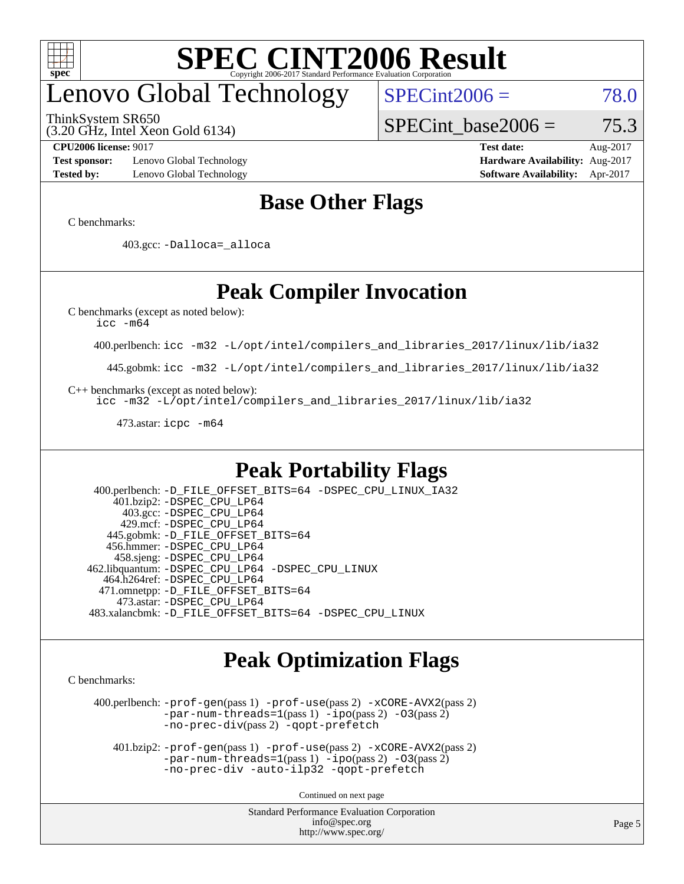

# enovo Global Technology

ThinkSystem SR650

(3.20 GHz, Intel Xeon Gold 6134)

 $SPECint2006 = 78.0$  $SPECint2006 = 78.0$ 

SPECint base2006 =  $75.3$ 

**[Test sponsor:](http://www.spec.org/auto/cpu2006/Docs/result-fields.html#Testsponsor)** Lenovo Global Technology **[Hardware Availability:](http://www.spec.org/auto/cpu2006/Docs/result-fields.html#HardwareAvailability)** Aug-2017 **[Tested by:](http://www.spec.org/auto/cpu2006/Docs/result-fields.html#Testedby)** Lenovo Global Technology **[Software Availability:](http://www.spec.org/auto/cpu2006/Docs/result-fields.html#SoftwareAvailability)** Apr-2017

**[CPU2006 license:](http://www.spec.org/auto/cpu2006/Docs/result-fields.html#CPU2006license)** 9017 **[Test date:](http://www.spec.org/auto/cpu2006/Docs/result-fields.html#Testdate)** Aug-2017

### **[Base Other Flags](http://www.spec.org/auto/cpu2006/Docs/result-fields.html#BaseOtherFlags)**

[C benchmarks](http://www.spec.org/auto/cpu2006/Docs/result-fields.html#Cbenchmarks):

403.gcc: [-Dalloca=\\_alloca](http://www.spec.org/cpu2006/results/res2017q4/cpu2006-20170918-49733.flags.html#b403.gcc_baseEXTRA_CFLAGS_Dalloca_be3056838c12de2578596ca5467af7f3)

### **[Peak Compiler Invocation](http://www.spec.org/auto/cpu2006/Docs/result-fields.html#PeakCompilerInvocation)**

[C benchmarks \(except as noted below\)](http://www.spec.org/auto/cpu2006/Docs/result-fields.html#Cbenchmarksexceptasnotedbelow):

[icc -m64](http://www.spec.org/cpu2006/results/res2017q4/cpu2006-20170918-49733.flags.html#user_CCpeak_intel_icc_64bit_bda6cc9af1fdbb0edc3795bac97ada53)

400.perlbench: [icc -m32 -L/opt/intel/compilers\\_and\\_libraries\\_2017/linux/lib/ia32](http://www.spec.org/cpu2006/results/res2017q4/cpu2006-20170918-49733.flags.html#user_peakCCLD400_perlbench_intel_icc_c29f3ff5a7ed067b11e4ec10a03f03ae)

445.gobmk: [icc -m32 -L/opt/intel/compilers\\_and\\_libraries\\_2017/linux/lib/ia32](http://www.spec.org/cpu2006/results/res2017q4/cpu2006-20170918-49733.flags.html#user_peakCCLD445_gobmk_intel_icc_c29f3ff5a7ed067b11e4ec10a03f03ae)

[C++ benchmarks \(except as noted below\):](http://www.spec.org/auto/cpu2006/Docs/result-fields.html#CXXbenchmarksexceptasnotedbelow)

[icc -m32 -L/opt/intel/compilers\\_and\\_libraries\\_2017/linux/lib/ia32](http://www.spec.org/cpu2006/results/res2017q4/cpu2006-20170918-49733.flags.html#user_CXXpeak_intel_icc_c29f3ff5a7ed067b11e4ec10a03f03ae)

473.astar: [icpc -m64](http://www.spec.org/cpu2006/results/res2017q4/cpu2006-20170918-49733.flags.html#user_peakCXXLD473_astar_intel_icpc_64bit_fc66a5337ce925472a5c54ad6a0de310)

### **[Peak Portability Flags](http://www.spec.org/auto/cpu2006/Docs/result-fields.html#PeakPortabilityFlags)**

 400.perlbench: [-D\\_FILE\\_OFFSET\\_BITS=64](http://www.spec.org/cpu2006/results/res2017q4/cpu2006-20170918-49733.flags.html#user_peakPORTABILITY400_perlbench_file_offset_bits_64_438cf9856305ebd76870a2c6dc2689ab) [-DSPEC\\_CPU\\_LINUX\\_IA32](http://www.spec.org/cpu2006/results/res2017q4/cpu2006-20170918-49733.flags.html#b400.perlbench_peakCPORTABILITY_DSPEC_CPU_LINUX_IA32) 401.bzip2: [-DSPEC\\_CPU\\_LP64](http://www.spec.org/cpu2006/results/res2017q4/cpu2006-20170918-49733.flags.html#suite_peakPORTABILITY401_bzip2_DSPEC_CPU_LP64) 403.gcc: [-DSPEC\\_CPU\\_LP64](http://www.spec.org/cpu2006/results/res2017q4/cpu2006-20170918-49733.flags.html#suite_peakPORTABILITY403_gcc_DSPEC_CPU_LP64) 429.mcf: [-DSPEC\\_CPU\\_LP64](http://www.spec.org/cpu2006/results/res2017q4/cpu2006-20170918-49733.flags.html#suite_peakPORTABILITY429_mcf_DSPEC_CPU_LP64) 445.gobmk: [-D\\_FILE\\_OFFSET\\_BITS=64](http://www.spec.org/cpu2006/results/res2017q4/cpu2006-20170918-49733.flags.html#user_peakPORTABILITY445_gobmk_file_offset_bits_64_438cf9856305ebd76870a2c6dc2689ab) 456.hmmer: [-DSPEC\\_CPU\\_LP64](http://www.spec.org/cpu2006/results/res2017q4/cpu2006-20170918-49733.flags.html#suite_peakPORTABILITY456_hmmer_DSPEC_CPU_LP64) 458.sjeng: [-DSPEC\\_CPU\\_LP64](http://www.spec.org/cpu2006/results/res2017q4/cpu2006-20170918-49733.flags.html#suite_peakPORTABILITY458_sjeng_DSPEC_CPU_LP64) 462.libquantum: [-DSPEC\\_CPU\\_LP64](http://www.spec.org/cpu2006/results/res2017q4/cpu2006-20170918-49733.flags.html#suite_peakPORTABILITY462_libquantum_DSPEC_CPU_LP64) [-DSPEC\\_CPU\\_LINUX](http://www.spec.org/cpu2006/results/res2017q4/cpu2006-20170918-49733.flags.html#b462.libquantum_peakCPORTABILITY_DSPEC_CPU_LINUX) 464.h264ref: [-DSPEC\\_CPU\\_LP64](http://www.spec.org/cpu2006/results/res2017q4/cpu2006-20170918-49733.flags.html#suite_peakPORTABILITY464_h264ref_DSPEC_CPU_LP64) 471.omnetpp: [-D\\_FILE\\_OFFSET\\_BITS=64](http://www.spec.org/cpu2006/results/res2017q4/cpu2006-20170918-49733.flags.html#user_peakPORTABILITY471_omnetpp_file_offset_bits_64_438cf9856305ebd76870a2c6dc2689ab) 473.astar: [-DSPEC\\_CPU\\_LP64](http://www.spec.org/cpu2006/results/res2017q4/cpu2006-20170918-49733.flags.html#suite_peakPORTABILITY473_astar_DSPEC_CPU_LP64) 483.xalancbmk: [-D\\_FILE\\_OFFSET\\_BITS=64](http://www.spec.org/cpu2006/results/res2017q4/cpu2006-20170918-49733.flags.html#user_peakPORTABILITY483_xalancbmk_file_offset_bits_64_438cf9856305ebd76870a2c6dc2689ab) [-DSPEC\\_CPU\\_LINUX](http://www.spec.org/cpu2006/results/res2017q4/cpu2006-20170918-49733.flags.html#b483.xalancbmk_peakCXXPORTABILITY_DSPEC_CPU_LINUX)

### **[Peak Optimization Flags](http://www.spec.org/auto/cpu2006/Docs/result-fields.html#PeakOptimizationFlags)**

[C benchmarks](http://www.spec.org/auto/cpu2006/Docs/result-fields.html#Cbenchmarks):

 400.perlbench: [-prof-gen](http://www.spec.org/cpu2006/results/res2017q4/cpu2006-20170918-49733.flags.html#user_peakPASS1_CFLAGSPASS1_LDCFLAGS400_perlbench_prof_gen_e43856698f6ca7b7e442dfd80e94a8fc)(pass 1) [-prof-use](http://www.spec.org/cpu2006/results/res2017q4/cpu2006-20170918-49733.flags.html#user_peakPASS2_CFLAGSPASS2_LDCFLAGS400_perlbench_prof_use_bccf7792157ff70d64e32fe3e1250b55)(pass 2) [-xCORE-AVX2](http://www.spec.org/cpu2006/results/res2017q4/cpu2006-20170918-49733.flags.html#user_peakPASS2_CFLAGSPASS2_LDCFLAGS400_perlbench_f-xCORE-AVX2)(pass 2) [-par-num-threads=1](http://www.spec.org/cpu2006/results/res2017q4/cpu2006-20170918-49733.flags.html#user_peakPASS1_CFLAGSPASS1_LDCFLAGS400_perlbench_par_num_threads_786a6ff141b4e9e90432e998842df6c2)(pass 1) [-ipo](http://www.spec.org/cpu2006/results/res2017q4/cpu2006-20170918-49733.flags.html#user_peakPASS2_CFLAGSPASS2_LDCFLAGS400_perlbench_f-ipo)(pass 2) [-O3](http://www.spec.org/cpu2006/results/res2017q4/cpu2006-20170918-49733.flags.html#user_peakPASS2_CFLAGSPASS2_LDCFLAGS400_perlbench_f-O3)(pass 2) [-no-prec-div](http://www.spec.org/cpu2006/results/res2017q4/cpu2006-20170918-49733.flags.html#user_peakPASS2_CFLAGSPASS2_LDCFLAGS400_perlbench_f-no-prec-div)(pass 2) [-qopt-prefetch](http://www.spec.org/cpu2006/results/res2017q4/cpu2006-20170918-49733.flags.html#user_peakCOPTIMIZE400_perlbench_f-qopt-prefetch)

 401.bzip2: [-prof-gen](http://www.spec.org/cpu2006/results/res2017q4/cpu2006-20170918-49733.flags.html#user_peakPASS1_CFLAGSPASS1_LDCFLAGS401_bzip2_prof_gen_e43856698f6ca7b7e442dfd80e94a8fc)(pass 1) [-prof-use](http://www.spec.org/cpu2006/results/res2017q4/cpu2006-20170918-49733.flags.html#user_peakPASS2_CFLAGSPASS2_LDCFLAGS401_bzip2_prof_use_bccf7792157ff70d64e32fe3e1250b55)(pass 2) [-xCORE-AVX2](http://www.spec.org/cpu2006/results/res2017q4/cpu2006-20170918-49733.flags.html#user_peakPASS2_CFLAGSPASS2_LDCFLAGS401_bzip2_f-xCORE-AVX2)(pass 2)  $-par-num-threads=1(pass 1) -ipo(pass 2) -O3(pass 2)$  $-par-num-threads=1(pass 1) -ipo(pass 2) -O3(pass 2)$  $-par-num-threads=1(pass 1) -ipo(pass 2) -O3(pass 2)$  $-par-num-threads=1(pass 1) -ipo(pass 2) -O3(pass 2)$  $-par-num-threads=1(pass 1) -ipo(pass 2) -O3(pass 2)$  $-par-num-threads=1(pass 1) -ipo(pass 2) -O3(pass 2)$ [-no-prec-div](http://www.spec.org/cpu2006/results/res2017q4/cpu2006-20170918-49733.flags.html#user_peakCOPTIMIZEPASS2_CFLAGSPASS2_LDCFLAGS401_bzip2_f-no-prec-div) [-auto-ilp32](http://www.spec.org/cpu2006/results/res2017q4/cpu2006-20170918-49733.flags.html#user_peakCOPTIMIZE401_bzip2_f-auto-ilp32) [-qopt-prefetch](http://www.spec.org/cpu2006/results/res2017q4/cpu2006-20170918-49733.flags.html#user_peakCOPTIMIZE401_bzip2_f-qopt-prefetch)

Continued on next page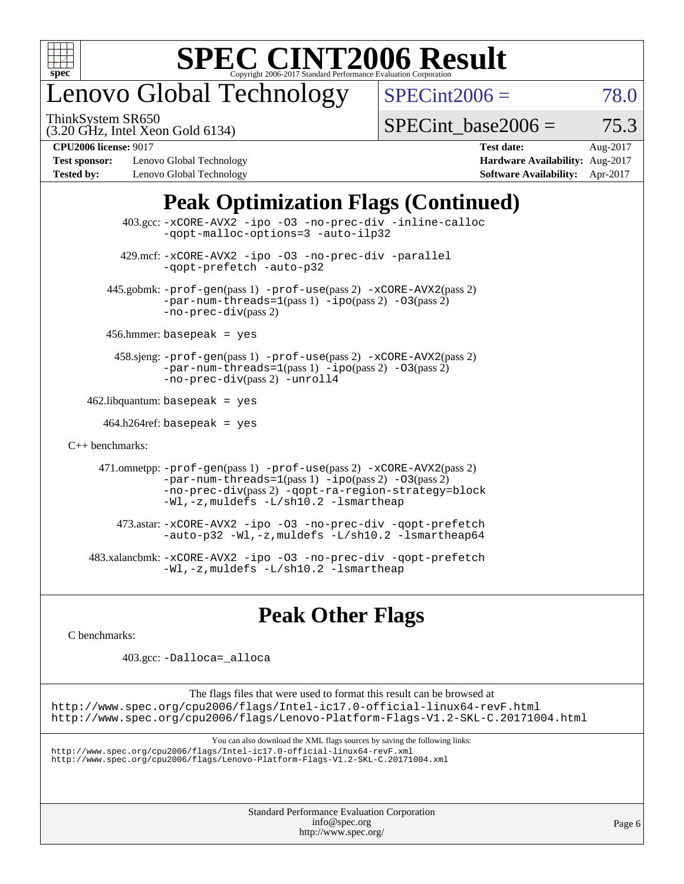

# enovo Global Technology

ThinkSystem SR650

 $SPECint2006 = 78.0$  $SPECint2006 = 78.0$ 

(3.20 GHz, Intel Xeon Gold 6134)

SPECint base2006 =  $75.3$ 

**[Test sponsor:](http://www.spec.org/auto/cpu2006/Docs/result-fields.html#Testsponsor)** Lenovo Global Technology **[Hardware Availability:](http://www.spec.org/auto/cpu2006/Docs/result-fields.html#HardwareAvailability)** Aug-2017 **[Tested by:](http://www.spec.org/auto/cpu2006/Docs/result-fields.html#Testedby)** Lenovo Global Technology **[Software Availability:](http://www.spec.org/auto/cpu2006/Docs/result-fields.html#SoftwareAvailability)** Apr-2017

**[CPU2006 license:](http://www.spec.org/auto/cpu2006/Docs/result-fields.html#CPU2006license)** 9017 **[Test date:](http://www.spec.org/auto/cpu2006/Docs/result-fields.html#Testdate)** Aug-2017

### **[Peak Optimization Flags \(Continued\)](http://www.spec.org/auto/cpu2006/Docs/result-fields.html#PeakOptimizationFlags)**

 403.gcc: [-xCORE-AVX2](http://www.spec.org/cpu2006/results/res2017q4/cpu2006-20170918-49733.flags.html#user_peakOPTIMIZE403_gcc_f-xCORE-AVX2) [-ipo](http://www.spec.org/cpu2006/results/res2017q4/cpu2006-20170918-49733.flags.html#user_peakOPTIMIZE403_gcc_f-ipo) [-O3](http://www.spec.org/cpu2006/results/res2017q4/cpu2006-20170918-49733.flags.html#user_peakOPTIMIZE403_gcc_f-O3) [-no-prec-div](http://www.spec.org/cpu2006/results/res2017q4/cpu2006-20170918-49733.flags.html#user_peakOPTIMIZE403_gcc_f-no-prec-div) [-inline-calloc](http://www.spec.org/cpu2006/results/res2017q4/cpu2006-20170918-49733.flags.html#user_peakCOPTIMIZE403_gcc_f-inline-calloc) [-qopt-malloc-options=3](http://www.spec.org/cpu2006/results/res2017q4/cpu2006-20170918-49733.flags.html#user_peakCOPTIMIZE403_gcc_f-qopt-malloc-options_0fcb435012e78f27d57f473818e45fe4) [-auto-ilp32](http://www.spec.org/cpu2006/results/res2017q4/cpu2006-20170918-49733.flags.html#user_peakCOPTIMIZE403_gcc_f-auto-ilp32) 429.mcf: [-xCORE-AVX2](http://www.spec.org/cpu2006/results/res2017q4/cpu2006-20170918-49733.flags.html#user_peakOPTIMIZE429_mcf_f-xCORE-AVX2) [-ipo](http://www.spec.org/cpu2006/results/res2017q4/cpu2006-20170918-49733.flags.html#user_peakOPTIMIZE429_mcf_f-ipo) [-O3](http://www.spec.org/cpu2006/results/res2017q4/cpu2006-20170918-49733.flags.html#user_peakOPTIMIZE429_mcf_f-O3) [-no-prec-div](http://www.spec.org/cpu2006/results/res2017q4/cpu2006-20170918-49733.flags.html#user_peakOPTIMIZE429_mcf_f-no-prec-div) [-parallel](http://www.spec.org/cpu2006/results/res2017q4/cpu2006-20170918-49733.flags.html#user_peakCOPTIMIZE429_mcf_f-parallel) [-qopt-prefetch](http://www.spec.org/cpu2006/results/res2017q4/cpu2006-20170918-49733.flags.html#user_peakCOPTIMIZE429_mcf_f-qopt-prefetch) [-auto-p32](http://www.spec.org/cpu2006/results/res2017q4/cpu2006-20170918-49733.flags.html#user_peakCOPTIMIZE429_mcf_f-auto-p32) 445.gobmk: [-prof-gen](http://www.spec.org/cpu2006/results/res2017q4/cpu2006-20170918-49733.flags.html#user_peakPASS1_CFLAGSPASS1_LDCFLAGS445_gobmk_prof_gen_e43856698f6ca7b7e442dfd80e94a8fc)(pass 1) [-prof-use](http://www.spec.org/cpu2006/results/res2017q4/cpu2006-20170918-49733.flags.html#user_peakPASS2_CFLAGSPASS2_LDCFLAGS445_gobmk_prof_use_bccf7792157ff70d64e32fe3e1250b55)(pass 2) [-xCORE-AVX2](http://www.spec.org/cpu2006/results/res2017q4/cpu2006-20170918-49733.flags.html#user_peakPASS2_CFLAGSPASS2_LDCFLAGS445_gobmk_f-xCORE-AVX2)(pass 2)  $-par-num-threads=1(pass 1) -ipo(pass 2) -O3(pass 2)$  $-par-num-threads=1(pass 1) -ipo(pass 2) -O3(pass 2)$  $-par-num-threads=1(pass 1) -ipo(pass 2) -O3(pass 2)$  $-par-num-threads=1(pass 1) -ipo(pass 2) -O3(pass 2)$  $-par-num-threads=1(pass 1) -ipo(pass 2) -O3(pass 2)$  $-par-num-threads=1(pass 1) -ipo(pass 2) -O3(pass 2)$ [-no-prec-div](http://www.spec.org/cpu2006/results/res2017q4/cpu2006-20170918-49733.flags.html#user_peakPASS2_CFLAGSPASS2_LDCFLAGS445_gobmk_f-no-prec-div)(pass 2) 456.hmmer: basepeak = yes 458.sjeng: [-prof-gen](http://www.spec.org/cpu2006/results/res2017q4/cpu2006-20170918-49733.flags.html#user_peakPASS1_CFLAGSPASS1_LDCFLAGS458_sjeng_prof_gen_e43856698f6ca7b7e442dfd80e94a8fc)(pass 1) [-prof-use](http://www.spec.org/cpu2006/results/res2017q4/cpu2006-20170918-49733.flags.html#user_peakPASS2_CFLAGSPASS2_LDCFLAGS458_sjeng_prof_use_bccf7792157ff70d64e32fe3e1250b55)(pass 2) [-xCORE-AVX2](http://www.spec.org/cpu2006/results/res2017q4/cpu2006-20170918-49733.flags.html#user_peakPASS2_CFLAGSPASS2_LDCFLAGS458_sjeng_f-xCORE-AVX2)(pass 2) [-par-num-threads=1](http://www.spec.org/cpu2006/results/res2017q4/cpu2006-20170918-49733.flags.html#user_peakPASS1_CFLAGSPASS1_LDCFLAGS458_sjeng_par_num_threads_786a6ff141b4e9e90432e998842df6c2)(pass 1) [-ipo](http://www.spec.org/cpu2006/results/res2017q4/cpu2006-20170918-49733.flags.html#user_peakPASS2_CFLAGSPASS2_LDCFLAGS458_sjeng_f-ipo)(pass 2) [-O3](http://www.spec.org/cpu2006/results/res2017q4/cpu2006-20170918-49733.flags.html#user_peakPASS2_CFLAGSPASS2_LDCFLAGS458_sjeng_f-O3)(pass 2) [-no-prec-div](http://www.spec.org/cpu2006/results/res2017q4/cpu2006-20170918-49733.flags.html#user_peakPASS2_CFLAGSPASS2_LDCFLAGS458_sjeng_f-no-prec-div)(pass 2) [-unroll4](http://www.spec.org/cpu2006/results/res2017q4/cpu2006-20170918-49733.flags.html#user_peakCOPTIMIZE458_sjeng_f-unroll_4e5e4ed65b7fd20bdcd365bec371b81f)  $462$ .libquantum: basepeak = yes  $464.h264$ ref: basepeak = yes [C++ benchmarks:](http://www.spec.org/auto/cpu2006/Docs/result-fields.html#CXXbenchmarks) 471.omnetpp: [-prof-gen](http://www.spec.org/cpu2006/results/res2017q4/cpu2006-20170918-49733.flags.html#user_peakPASS1_CXXFLAGSPASS1_LDCXXFLAGS471_omnetpp_prof_gen_e43856698f6ca7b7e442dfd80e94a8fc)(pass 1) [-prof-use](http://www.spec.org/cpu2006/results/res2017q4/cpu2006-20170918-49733.flags.html#user_peakPASS2_CXXFLAGSPASS2_LDCXXFLAGS471_omnetpp_prof_use_bccf7792157ff70d64e32fe3e1250b55)(pass 2) [-xCORE-AVX2](http://www.spec.org/cpu2006/results/res2017q4/cpu2006-20170918-49733.flags.html#user_peakPASS2_CXXFLAGSPASS2_LDCXXFLAGS471_omnetpp_f-xCORE-AVX2)(pass 2)  $-par-num-threads=1(pass 1) -ipo(pass 2) -O3(pass 2)$  $-par-num-threads=1(pass 1) -ipo(pass 2) -O3(pass 2)$  $-par-num-threads=1(pass 1) -ipo(pass 2) -O3(pass 2)$  $-par-num-threads=1(pass 1) -ipo(pass 2) -O3(pass 2)$  $-par-num-threads=1(pass 1) -ipo(pass 2) -O3(pass 2)$  $-par-num-threads=1(pass 1) -ipo(pass 2) -O3(pass 2)$ [-no-prec-div](http://www.spec.org/cpu2006/results/res2017q4/cpu2006-20170918-49733.flags.html#user_peakPASS2_CXXFLAGSPASS2_LDCXXFLAGS471_omnetpp_f-no-prec-div)(pass 2) [-qopt-ra-region-strategy=block](http://www.spec.org/cpu2006/results/res2017q4/cpu2006-20170918-49733.flags.html#user_peakCXXOPTIMIZE471_omnetpp_f-qopt-ra-region-strategy_0f7b543d62da454b380160c0e3b28f94) [-Wl,-z,muldefs](http://www.spec.org/cpu2006/results/res2017q4/cpu2006-20170918-49733.flags.html#user_peakEXTRA_LDFLAGS471_omnetpp_link_force_multiple1_74079c344b956b9658436fd1b6dd3a8a) [-L/sh10.2 -lsmartheap](http://www.spec.org/cpu2006/results/res2017q4/cpu2006-20170918-49733.flags.html#user_peakEXTRA_LIBS471_omnetpp_SmartHeap_b831f2d313e2fffa6dfe3f00ffc1f1c0) 473.astar: [-xCORE-AVX2](http://www.spec.org/cpu2006/results/res2017q4/cpu2006-20170918-49733.flags.html#user_peakOPTIMIZE473_astar_f-xCORE-AVX2) [-ipo](http://www.spec.org/cpu2006/results/res2017q4/cpu2006-20170918-49733.flags.html#user_peakOPTIMIZE473_astar_f-ipo) [-O3](http://www.spec.org/cpu2006/results/res2017q4/cpu2006-20170918-49733.flags.html#user_peakOPTIMIZE473_astar_f-O3) [-no-prec-div](http://www.spec.org/cpu2006/results/res2017q4/cpu2006-20170918-49733.flags.html#user_peakOPTIMIZE473_astar_f-no-prec-div) [-qopt-prefetch](http://www.spec.org/cpu2006/results/res2017q4/cpu2006-20170918-49733.flags.html#user_peakCXXOPTIMIZE473_astar_f-qopt-prefetch) [-auto-p32](http://www.spec.org/cpu2006/results/res2017q4/cpu2006-20170918-49733.flags.html#user_peakCXXOPTIMIZE473_astar_f-auto-p32) [-Wl,-z,muldefs](http://www.spec.org/cpu2006/results/res2017q4/cpu2006-20170918-49733.flags.html#user_peakEXTRA_LDFLAGS473_astar_link_force_multiple1_74079c344b956b9658436fd1b6dd3a8a) [-L/sh10.2 -lsmartheap64](http://www.spec.org/cpu2006/results/res2017q4/cpu2006-20170918-49733.flags.html#user_peakEXTRA_LIBS473_astar_SmartHeap64_63911d860fc08c15fa1d5bf319b9d8d5) 483.xalancbmk: [-xCORE-AVX2](http://www.spec.org/cpu2006/results/res2017q4/cpu2006-20170918-49733.flags.html#user_peakOPTIMIZE483_xalancbmk_f-xCORE-AVX2) [-ipo](http://www.spec.org/cpu2006/results/res2017q4/cpu2006-20170918-49733.flags.html#user_peakOPTIMIZE483_xalancbmk_f-ipo) [-O3](http://www.spec.org/cpu2006/results/res2017q4/cpu2006-20170918-49733.flags.html#user_peakOPTIMIZE483_xalancbmk_f-O3) [-no-prec-div](http://www.spec.org/cpu2006/results/res2017q4/cpu2006-20170918-49733.flags.html#user_peakOPTIMIZE483_xalancbmk_f-no-prec-div) [-qopt-prefetch](http://www.spec.org/cpu2006/results/res2017q4/cpu2006-20170918-49733.flags.html#user_peakCXXOPTIMIZE483_xalancbmk_f-qopt-prefetch) [-Wl,-z,muldefs](http://www.spec.org/cpu2006/results/res2017q4/cpu2006-20170918-49733.flags.html#user_peakEXTRA_LDFLAGS483_xalancbmk_link_force_multiple1_74079c344b956b9658436fd1b6dd3a8a) [-L/sh10.2 -lsmartheap](http://www.spec.org/cpu2006/results/res2017q4/cpu2006-20170918-49733.flags.html#user_peakEXTRA_LIBS483_xalancbmk_SmartHeap_b831f2d313e2fffa6dfe3f00ffc1f1c0)

### **[Peak Other Flags](http://www.spec.org/auto/cpu2006/Docs/result-fields.html#PeakOtherFlags)**

[C benchmarks](http://www.spec.org/auto/cpu2006/Docs/result-fields.html#Cbenchmarks):

403.gcc: [-Dalloca=\\_alloca](http://www.spec.org/cpu2006/results/res2017q4/cpu2006-20170918-49733.flags.html#b403.gcc_peakEXTRA_CFLAGS_Dalloca_be3056838c12de2578596ca5467af7f3)

The flags files that were used to format this result can be browsed at <http://www.spec.org/cpu2006/flags/Intel-ic17.0-official-linux64-revF.html> <http://www.spec.org/cpu2006/flags/Lenovo-Platform-Flags-V1.2-SKL-C.20171004.html>

You can also download the XML flags sources by saving the following links:

<http://www.spec.org/cpu2006/flags/Intel-ic17.0-official-linux64-revF.xml> <http://www.spec.org/cpu2006/flags/Lenovo-Platform-Flags-V1.2-SKL-C.20171004.xml>